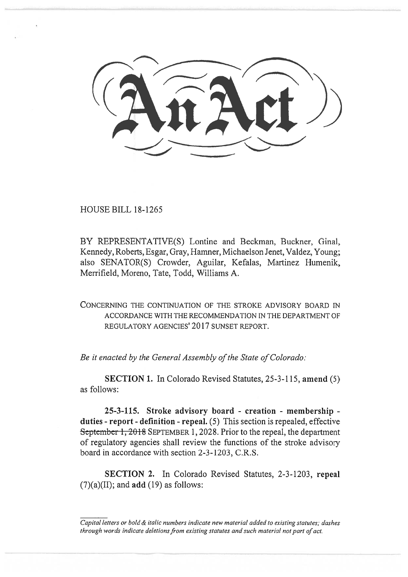$\diagup$ 

HOUSE BILL 18-1265

BY REPRESENTATIVE(S) Lontine and Beckman, Buckner, Ginal, Kennedy, Roberts, Esgar, Gray, Hamner, Michaelson Jenet, Valdez, Young; also SENATOR(S) Crowder, Aguilar, Kefalas, Martinez Humenik, Merrifield, Moreno, Tate, Todd, Williams A.

CONCERNING THE CONTINUATION OF THE STROKE ADVISORY BOARD IN ACCORDANCE WITH THE RECOMMENDATION IN THE DEPARTMENT OF REGULATORY AGENCIES' 2017 SUNSET REPORT.

*Be it enacted by the General Assembly of the State of Colorado:* 

**SECTION 1.** In Colorado Revised Statutes, 25-3-115, **amend** (5) as follows:

**25-3-115. Stroke advisory board - creation - membership duties - report - definition - repeal.** (5) This section is repealed, effective September 1, 2018 SEPTEMBER 1, 2028. Prior to the repeal, the department of regulatory agencies shall review the functions of the stroke advisory board in accordance with section 2-3-1203, C.R.S.

**SECTION 2.** In Colorado Revised Statutes, 2-3-1203, **repeal**  (7)(a)(II); and **add** (19) as follows:

*Capital letters or bold & italic numbers indicate new material added to existing statutes; dashes through words indicate deletions from existing statutes and such material not part of act.*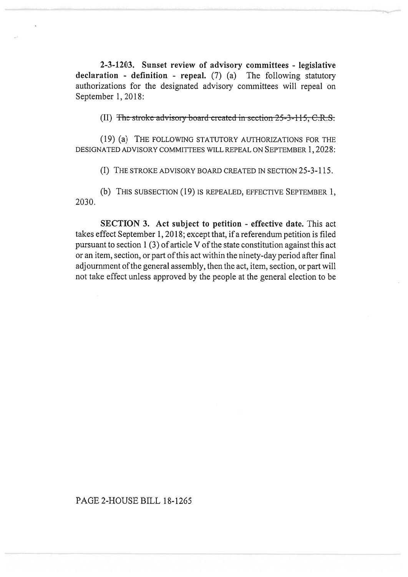**2-3-1203. Sunset review of advisory committees - legislative declaration - definition - repeal.** (7) (a) The following statutory authorizations for the designated advisory committees will repeal on September 1, 2018:

(II) The stroke advisory board created in section  $25-3-115$ , C.R.S.

(19) (a) THE FOLLOWING STATUTORY AUTHORIZATIONS FOR THE DESIGNATED ADVISORY COMMITTEES WILL REPEAL ON SEPTEMBER 1, 2028:

(I) THE STROKE ADVISORY BOARD CREATED IN SECTION 25-3-115.

(b) THIS SUBSECTION (19) IS REPEALED, EFFECTIVE SEPTEMBER 1, 2030.

**SECTION 3. Act subject to petition - effective date.** This act takes effect September 1, 2018; except that, if a referendum petition is filed pursuant to section 1 (3) of article V of the state constitution against this act or an item, section, or part of this act within the ninety-day period after final adjournment of the general assembly, then the act, item, section, or part will not take effect unless approved by the people at the general election to be

## PAGE 2-HOUSE BILL 18-1265